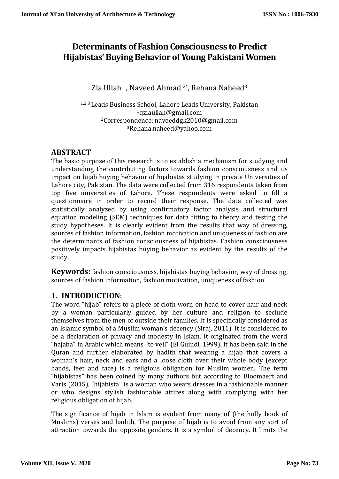# **Determinants of Fashion Consciousness to Predict Hijabistas' Buying Behavior of Young Pakistani Women**

Zia Ullah<sup>1</sup>, Naveed Ahmad <sup>2\*</sup>, Rehana Naheed<sup>3</sup>

1,2,3 Leads Business School, Lahore Leads University, Pakistan qziaullah@gmail.com Correspondence: [naveeddgk2010@gmail.com](mailto:naveeddgk2010@gmail.com) Rehana.naheed@yahoo.com

# **ABSTRACT**

The basic purpose of this research is to establish a mechanism for studying and understanding the contributing factors towards fashion consciousness and its impact on hijab buying behavior of hijabistas studying in private Universities of Lahore city, Pakistan. The data were collected from 316 respondents taken from top five universities of Lahore. These respondents were asked to fill a questionnaire in order to record their response. The data collected was statistically analyzed by using confirmatory factor analysis and structural equation modeling (SEM) techniques for data fitting to theory and testing the study hypotheses. It is clearly evident from the results that way of dressing, sources of fashion information, fashion motivation and uniqueness of fashion are the determinants of fashion consciousness of hijabistas. Fashion consciousness positively impacts hijabistas buying behavior as evident by the results of the study.

**Keywords:** fashion consciousness, hijabistas buying behavior, way of dressing, sources of fashion information, fashion motivation, uniqueness of fashion

### **1. INTRODUCTION**:

The word "hijab" refers to a piece of cloth worn on head to cover hair and neck by a woman particularly guided by her culture and religion to seclude themselves from the men of outside their families. It is specifically considered as an Islamic symbol of a Muslim woman's decency (Siraj, 2011). It is considered to be a declaration of privacy and modesty in Islam. It originated from the word "hajaba" in Arabic which means "to veil" (El Guindi, 1999). It has been said in the Quran and further elaborated by hadith that wearing a hijab that covers a woman's hair, neck and ears and a loose cloth over their whole body (except hands, feet and face) is a religious obligation for Muslim women. The term "hijabistas" has been coined by many authors but according to Bloomaert and Varis (2015), "hijabista" is a woman who wears dresses in a fashionable manner or who designs stylish fashionable attires along with complying with her religious obligation of hijab.

The significance of hijab in Islam is evident from many of (the holly book of Muslims) verses and hadith. The purpose of hijab is to avoid from any sort of attraction towards the opposite genders. It is a symbol of decency. It limits the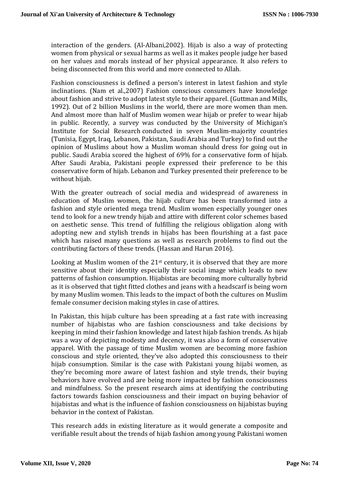interaction of the genders. (Al-Albani,2002). Hijab is also a way of protecting women from physical or sexual harms as well as it makes people judge her based on her values and morals instead of her physical appearance. It also refers to being disconnected from this world and more connected to Allah.

Fashion consciousness is defined a person's interest in latest fashion and style inclinations. (Nam et al.,2007) Fashion conscious consumers have knowledge about fashion and strive to adopt latest style to their apparel. (Guttman and Mills, 1992). Out of 2 billion Muslims in the world, there are more women than men. And almost more than half of Muslim women wear hijab or prefer to wear hijab in public. Recently, a survey was conducted by the University of Michigan's Institute for Social Research conducted in seven Muslim-majority countries (Tunisia, Egypt, Iraq, Lebanon, Pakistan, Saudi Arabia and Turkey) to find out the opinion of Muslims about how a Muslim woman should dress for going out in public. Saudi Arabia scored the highest of 69% for a conservative form of hijab. After Saudi Arabia, Pakistani people expressed their preference to be this conservative form of hijab. Lebanon and Turkey presented their preference to be without hijab.

With the greater outreach of social media and widespread of awareness in education of Muslim women, the hijab culture has been transformed into a fashion and style oriented mega trend. Muslim women especially younger ones tend to look for a new trendy hijab and attire with different color schemes based on aesthetic sense. This trend of fulfilling the religious obligation along with adopting new and stylish trends in hijabs has been flourishing at a fast pace which has raised many questions as well as research problems to find out the contributing factors of these trends. (Hassan and Harun 2016).

Looking at Muslim women of the  $21<sup>st</sup>$  century, it is observed that they are more sensitive about their identity especially their social image which leads to new patterns of fashion consumption. Hijabistas are becoming more culturally hybrid as it is observed that tight fitted clothes and jeans with a headscarf is being worn by many Muslim women. This leads to the impact of both the cultures on Muslim female consumer decision making styles in case of attires.

In Pakistan, this hijab culture has been spreading at a fast rate with increasing number of hijabistas who are fashion consciousness and take decisions by keeping in mind their fashion knowledge and latest hijab fashion trends. As hijab was a way of depicting modesty and decency, it was also a form of conservative apparel. With the passage of time Muslim women are becoming more fashion conscious and style oriented, they've also adopted this consciousness to their hijab consumption. Similar is the case with Pakistani young hijabi women, as they're becoming more aware of latest fashion and style trends, their buying behaviors have evolved and are being more impacted by fashion consciousness and mindfulness. So the present research aims at identifying the contributing factors towards fashion consciousness and their impact on buying behavior of hijabistas and what is the influence of fashion consciousness on hijabistas buying behavior in the context of Pakistan.

This research adds in existing literature as it would generate a composite and verifiable result about the trends of hijab fashion among young Pakistani women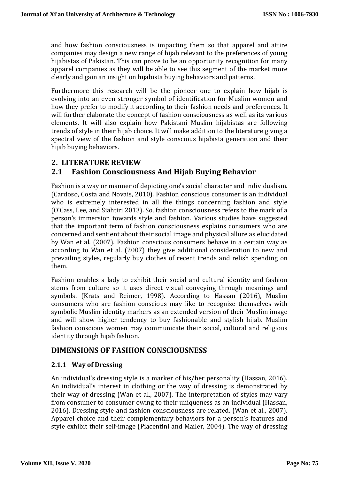and how fashion consciousness is impacting them so that apparel and attire companies may design a new range of hijab relevant to the preferences of young hijabistas of Pakistan. This can prove to be an opportunity recognition for many apparel companies as they will be able to see this segment of the market more clearly and gain an insight on hijabista buying behaviors and patterns.

Furthermore this research will be the pioneer one to explain how hijab is evolving into an even stronger symbol of identification for Muslim women and how they prefer to modify it according to their fashion needs and preferences. It will further elaborate the concept of fashion consciousness as well as its various elements. It will also explain how Pakistani Muslim hijabistas are following trends of style in their hijab choice. It will make addition to the literature giving a spectral view of the fashion and style conscious hijabista generation and their hijab buying behaviors.

### **2. LITERATURE REVIEW**

# **2.1 Fashion Consciousness And Hijab Buying Behavior**

Fashion is a way or manner of depicting one's social character and individualism. (Cardoso, Costa and Novais, 2010). Fashion conscious consumer is an individual who is extremely interested in all the things concerning fashion and style (O'Cass, Lee, and Siahtiri 2013). So, fashion consciousness refers to the mark of a person's immersion towards style and fashion. Various studies have suggested that the important term of fashion consciousness explains consumers who are concerned and sentient about their social image and physical allure as elucidated by Wan et al. (2007). Fashion conscious consumers behave in a certain way as according to Wan et al. (2007) they give additional consideration to new and prevailing styles, regularly buy clothes of recent trends and relish spending on them.

Fashion enables a lady to exhibit their social and cultural identity and fashion stems from culture so it uses direct visual conveying through meanings and symbols. (Krats and Reimer, 1998). According to Hassan (2016), Muslim consumers who are fashion conscious may like to recognize themselves with symbolic Muslim identity markers as an extended version of their Muslim image and will show higher tendency to buy fashionable and stylish hijab. Muslim fashion conscious women may communicate their social, cultural and religious identity through hijab fashion.

# **DIMENSIONS OF FASHION CONSCIOUSNESS**

#### **2.1.1 Way of Dressing**

An individual's dressing style is a marker of his/her personality (Hassan, 2016). An individual's interest in clothing or the way of dressing is demonstrated by their way of dressing (Wan et al., 2007). The interpretation of styles may vary from consumer to consumer owing to their uniqueness as an individual (Hassan, 2016). Dressing style and fashion consciousness are related. (Wan et al., 2007). Apparel choice and their complementary behaviors for a person's features and style exhibit their self-image (Piacentini and Mailer, 2004). The way of dressing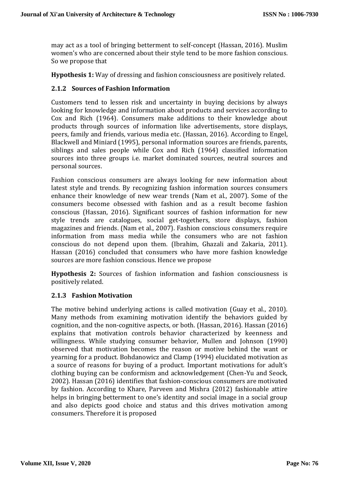may act as a tool of bringing betterment to self-concept (Hassan, 2016). Muslim women's who are concerned about their style tend to be more fashion conscious. So we propose that

**Hypothesis 1:** Way of dressing and fashion consciousness are positively related.

#### **2.1.2 Sources of Fashion Information**

Customers tend to lessen risk and uncertainty in buying decisions by always looking for knowledge and information about products and services according to Cox and Rich (1964). Consumers make additions to their knowledge about products through sources of information like advertisements, store displays, peers, family and friends, various media etc. (Hassan, 2016). According to Engel, Blackwell and Miniard (1995), personal information sources are friends, parents, siblings and sales people while Cox and Rich (1964) classified information sources into three groups i.e. market dominated sources, neutral sources and personal sources.

Fashion conscious consumers are always looking for new information about latest style and trends. By recognizing fashion information sources consumers enhance their knowledge of new wear trends (Nam et al., 2007). Some of the consumers become obsessed with fashion and as a result become fashion conscious (Hassan, 2016). Significant sources of fashion information for new style trends are catalogues, social get-togethers, store displays, fashion magazines and friends. (Nam et al., 2007). Fashion conscious consumers require information from mass media while the consumers who are not fashion conscious do not depend upon them. (Ibrahim, Ghazali and Zakaria, 2011). Hassan (2016) concluded that consumers who have more fashion knowledge sources are more fashion conscious. Hence we propose

**Hypothesis 2:** Sources of fashion information and fashion consciousness is positively related.

#### **2.1.3 Fashion Motivation**

The motive behind underlying actions is called motivation (Guay et al., 2010). Many methods from examining motivation identify the behaviors guided by cognition, and the non-cognitive aspects, or both. (Hassan, 2016). Hassan (2016) explains that motivation controls behavior characterized by keenness and willingness. While studying consumer behavior, Mullen and Johnson (1990) observed that motivation becomes the reason or motive behind the want or yearning for a product. Bohdanowicz and Clamp (1994) elucidated motivation as a source of reasons for buying of a product. Important motivations for adult's clothing buying can be conformism and acknowledgement (Chen-Yu and Seock, 2002). Hassan (2016) identifies that fashion-conscious consumers are motivated by fashion. According to Khare, Parveen and Mishra (2012) fashionable attire helps in bringing betterment to one's identity and social image in a social group and also depicts good choice and status and this drives motivation among consumers. Therefore it is proposed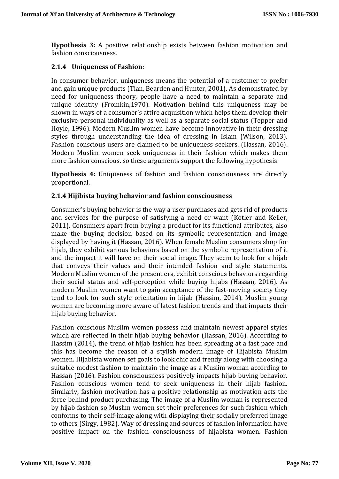**Hypothesis 3:** A positive relationship exists between fashion motivation and fashion consciousness.

#### **2.1.4 Uniqueness of Fashion:**

In consumer behavior, uniqueness means the potential of a customer to prefer and gain unique products (Tian, Bearden and Hunter, 2001). As demonstrated by need for uniqueness theory, people have a need to maintain a separate and unique identity (Fromkin,1970). Motivation behind this uniqueness may be shown in ways of a consumer's attire acquisition which helps them develop their exclusive personal individuality as well as a separate social status (Tepper and Hoyle, 1996). Modern Muslim women have become innovative in their dressing styles through understanding the idea of dressing in Islam (Wilson, 2013). Fashion conscious users are claimed to be uniqueness seekers. (Hassan, 2016). Modern Muslim women seek uniqueness in their fashion which makes them more fashion conscious. so these arguments support the following hypothesis

**Hypothesis 4:** Uniqueness of fashion and fashion consciousness are directly proportional.

#### **2.1.4 Hijibista buying behavior and fashion consciousness**

Consumer's buying behavior is the way a user purchases and gets rid of products and services for the purpose of satisfying a need or want (Kotler and Keller, 2011). Consumers apart from buying a product for its functional attributes, also make the buying decision based on its symbolic representation and image displayed by having it (Hassan, 2016). When female Muslim consumers shop for hijab, they exhibit various behaviors based on the symbolic representation of it and the impact it will have on their social image. They seem to look for a hijab that conveys their values and their intended fashion and style statements. Modern Muslim women of the present era, exhibit conscious behaviors regarding their social status and self-perception while buying hijabs (Hassan, 2016). As modern Muslim women want to gain acceptance of the fast-moving society they tend to look for such style orientation in hijab (Hassim, 2014). Muslim young women are becoming more aware of latest fashion trends and that impacts their hijab buying behavior.

Fashion conscious Muslim women possess and maintain newest apparel styles which are reflected in their hijab buying behavior (Hassan, 2016). According to Hassim (2014), the trend of hijab fashion has been spreading at a fast pace and this has become the reason of a stylish modern image of Hijabista Muslim women. Hijabista women set goals to look chic and trendy along with choosing a suitable modest fashion to maintain the image as a Muslim woman according to Hassan (2016). Fashion consciousness positively impacts hijab buying behavior. Fashion conscious women tend to seek uniqueness in their hijab fashion. Similarly, fashion motivation has a positive relationship as motivation acts the force behind product purchasing. The image of a Muslim woman is represented by hijab fashion so Muslim women set their preferences for such fashion which conforms to their self-image along with displaying their socially preferred image to others (Sirgy, 1982). Way of dressing and sources of fashion information have positive impact on the fashion consciousness of hijabista women. Fashion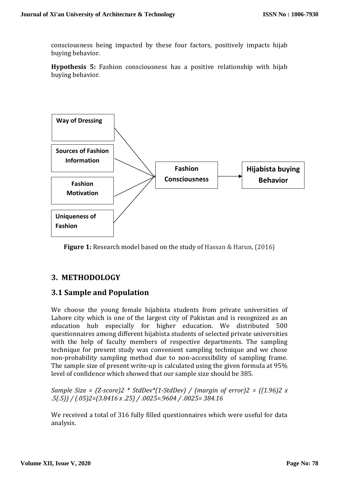consciousness being impacted by these four factors, positively impacts hijab buying behavior.

**Hypothesis 5:** Fashion consciousness has a positive relationship with hijab buying behavior.



**Figure 1:** Research model based on the study of Hassan & Harun, (2016)

# **3. METHODOLOGY**

# **3.1 Sample and Population**

We choose the young female hijabista students from private universities of Lahore city which is one of the largest city of Pakistan and is recognized as an education hub especially for higher education. We distributed 500 questionnaires among different hijabista students of selected private universities with the help of faculty members of respective departments. The sampling technique for present study was convenient sampling technique and we chose non-probability sampling method due to non-accessibility of sampling frame. The sample size of present write-up is calculated using the given formula at 95% level of confidence which showed that our sample size should be 385.

*Sample Size = (Z-score)2 \* StdDev\*(1-StdDev) / (margin of error)2 = ((1.96)2 x .5(.5)) / (.05)2=(3.8416 x .25) / .0025=.9604 / .0025= 384.16*

We received a total of 316 fully filled questionnaires which were useful for data analysis.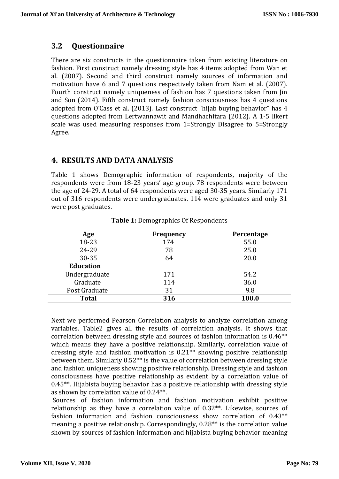### **3.2 Questionnaire**

There are six constructs in the questionnaire taken from existing literature on fashion. First construct namely dressing style has 4 items adopted from Wan et al. (2007). Second and third construct namely sources of information and motivation have 6 and 7 questions respectively taken from Nam et al. (2007). Fourth construct namely uniqueness of fashion has 7 questions taken from Jin and Son (2014). Fifth construct namely fashion consciousness has 4 questions adopted from O'Cass et al. (2013). Last construct "hijab buying behavior" has 4 questions adopted from Lertwannawit and Mandhachitara (2012). A 1-5 likert scale was used measuring responses from 1=Strongly Disagree to 5=Strongly Agree.

### **4. RESULTS AND DATA ANALYSIS**

Table 1 shows Demographic information of respondents, majority of the respondents were from 18-23 years' age group. 78 respondents were between the age of 24-29. A total of 64 respondents were aged 30-35 years. Similarly 171 out of 316 respondents were undergraduates. 114 were graduates and only 31 were post graduates.

| Age              | <b>Frequency</b> | Percentage |
|------------------|------------------|------------|
| 18-23            | 174              | 55.0       |
| 24-29            | 78               | 25.0       |
| 30-35            | 64               | 20.0       |
| <b>Education</b> |                  |            |
| Undergraduate    | 171              | 54.2       |
| Graduate         | 114              | 36.0       |
| Post Graduate    | 31               | 9.8        |
| <b>Total</b>     | 316              | 100.0      |

**Table 1:** Demographics Of Respondents

Next we performed Pearson Correlation analysis to analyze correlation among variables. Table2 gives all the results of correlation analysis. It shows that correlation between dressing style and sources of fashion information is 0.46\*\* which means they have a positive relationship. Similarly, correlation value of dressing style and fashion motivation is 0.21\*\* showing positive relationship between them. Similarly 0.52\*\* is the value of correlation between dressing style and fashion uniqueness showing positive relationship. Dressing style and fashion consciousness have positive relationship as evident by a correlation value of 0.45\*\*. Hijabista buying behavior has a positive relationship with dressing style as shown by correlation value of 0.24\*\*.

Sources of fashion information and fashion motivation exhibit positive relationship as they have a correlation value of 0.32\*\*. Likewise, sources of fashion information and fashion consciousness show correlation of 0.43\*\* meaning a positive relationship. Correspondingly, 0.28\*\* is the correlation value shown by sources of fashion information and hijabista buying behavior meaning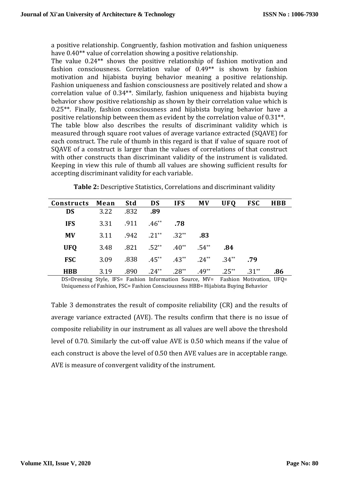a positive relationship. Congruently, fashion motivation and fashion uniqueness have  $0.40**$  value of correlation showing a positive relationship.

The value 0.24\*\* shows the positive relationship of fashion motivation and fashion consciousness. Correlation value of 0.49\*\* is shown by fashion motivation and hijabista buying behavior meaning a positive relationship. Fashion uniqueness and fashion consciousness are positively related and show a correlation value of 0.34\*\*. Similarly, fashion uniqueness and hijabista buying behavior show positive relationship as shown by their correlation value which is 0.25\*\*. Finally, fashion consciousness and hijabista buying behavior have a positive relationship between them as evident by the correlation value of 0.31\*\*. The table blow also describes the results of discriminant validity which is measured through square root values of average variance extracted (SQAVE) for each construct. The rule of thumb in this regard is that if value of square root of SQAVE of a construct is larger than the values of correlations of that construct with other constructs than discriminant validity of the instrument is validated. Keeping in view this rule of thumb all values are showing sufficient results for accepting discriminant validity for each variable.

**Table 2:** Descriptive Statistics, Correlations and discriminant validity

| Constructs Mean |      | Std  | <b>DS</b>                                  | <b>IFS</b> | <b>MV</b>                                          | <b>UFQ</b>       | <b>FSC</b> | <b>HBB</b> |
|-----------------|------|------|--------------------------------------------|------------|----------------------------------------------------|------------------|------------|------------|
| <b>DS</b>       | 3.22 | .832 | .89                                        |            |                                                    |                  |            |            |
| <b>IFS</b>      | 3.31 |      | $.911$ $.46^{**}$ .78                      |            |                                                    |                  |            |            |
| <b>MV</b>       | 3.11 |      | $.942$ $.21^{**}$ $.32^{**}$               |            | .83                                                |                  |            |            |
| <b>UFO</b>      | 3.48 |      | $.821 \t .52^{**} \t .40^{**} \t .54^{**}$ |            |                                                    | .84              |            |            |
| <b>FSC</b>      | 3.09 |      |                                            |            | $.838$ $.45^{**}$ $.43^{**}$ $.24^{**}$ $.34^{**}$ |                  | - 79       |            |
| <b>HBB</b>      | 3.19 | .890 | $.24***$ $.28***$                          |            |                                                    | $.49^{**}$ .25** | $.31***$   | .86        |

DS=Dressing Style, IFS= Fashion Information Source, MV= Fashion Motivation, UFQ= Uniqueness of Fashion, FSC= Fashion Consciousness HBB= Hijabista Buying Behavior

Table 3 demonstrates the result of composite reliability (CR) and the results of average variance extracted (AVE). The results confirm that there is no issue of composite reliability in our instrument as all values are well above the threshold level of 0.70. Similarly the cut-off value AVE is 0.50 which means if the value of each construct is above the level of 0.50 then AVE values are in acceptable range. AVE is measure of convergent validity of the instrument.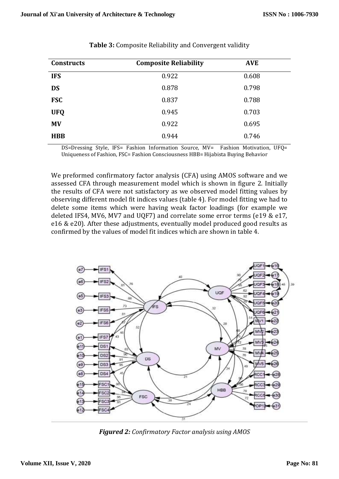| <b>Constructs</b> | <b>Composite Reliability</b> | <b>AVE</b> |
|-------------------|------------------------------|------------|
| <b>IFS</b>        | 0.922                        | 0.608      |
| <b>DS</b>         | 0.878                        | 0.798      |
| <b>FSC</b>        | 0.837                        | 0.788      |
| <b>UFQ</b>        | 0.945                        | 0.703      |
| <b>MV</b>         | 0.922                        | 0.695      |
| <b>HBB</b>        | 0.944                        | 0.746      |

|  | Table 3: Composite Reliability and Convergent validity |  |
|--|--------------------------------------------------------|--|
|  |                                                        |  |

DS=Dressing Style, IFS= Fashion Information Source, MV= Fashion Motivation, UFQ= Uniqueness of Fashion, FSC= Fashion Consciousness HBB= Hijabista Buying Behavior

We preformed confirmatory factor analysis (CFA) using AMOS software and we assessed CFA through measurement model which is shown in figure 2. Initially the results of CFA were not satisfactory as we observed model fitting values by observing different model fit indices values (table 4). For model fitting we had to delete some items which were having weak factor loadings (for example we deleted IFS4, MV6, MV7 and UQF7) and correlate some error terms (e19 & e17, e16 & e20). After these adjustments, eventually model produced good results as confirmed by the values of model fit indices which are shown in table 4.



*Figured 2: Confirmatory Factor analysis using AMOS*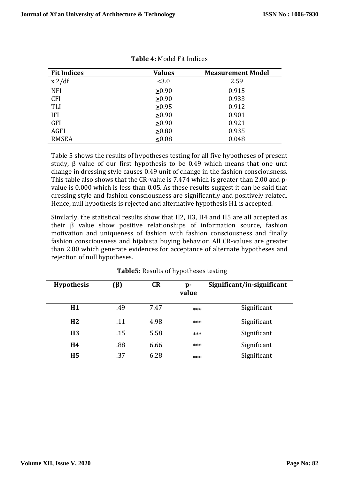| <b>Fit Indices</b> | <b>Values</b> | <b>Measurement Model</b> |
|--------------------|---------------|--------------------------|
| $x \frac{2}{df}$   | < 3.0         | 2.59                     |
| <b>NFI</b>         | $\geq 0.90$   | 0.915                    |
| <b>CFI</b>         | $\geq 0.90$   | 0.933                    |
| <b>TLI</b>         | $\geq 0.95$   | 0.912                    |
| <b>IFI</b>         | $\geq 0.90$   | 0.901                    |
| GFI                | $\geq 0.90$   | 0.921                    |
| <b>AGFI</b>        | $\geq 0.80$   | 0.935                    |
| <b>RMSEA</b>       | < 0.08        | 0.048                    |

Table 5 shows the results of hypotheses testing for all five hypotheses of present study, β value of our first hypothesis to be 0.49 which means that one unit change in dressing style causes 0.49 unit of change in the fashion consciousness. This table also shows that the CR-value is 7.474 which is greater than 2.00 and pvalue is 0.000 which is less than 0.05. As these results suggest it can be said that dressing style and fashion consciousness are significantly and positively related. Hence, null hypothesis is rejected and alternative hypothesis H1 is accepted.

Similarly, the statistical results show that H2, H3, H4 and H5 are all accepted as their β value show positive relationships of information source, fashion motivation and uniqueness of fashion with fashion consciousness and finally fashion consciousness and hijabista buying behavior. All CR-values are greater than 2.00 which generate evidences for acceptance of alternate hypotheses and rejection of null hypotheses.

| <b>Hypothesis</b> | (ß) | <b>CR</b> | p-<br>value | Significant/in-significant |
|-------------------|-----|-----------|-------------|----------------------------|
| H1                | .49 | 7.47      | ***         | Significant                |
| H <sub>2</sub>    | .11 | 4.98      | ***         | Significant                |
| H <sub>3</sub>    | .15 | 5.58      | ***         | Significant                |
| <b>H4</b>         | .88 | 6.66      | ***         | Significant                |
| <b>H5</b>         | .37 | 6.28      | ***         | Significant                |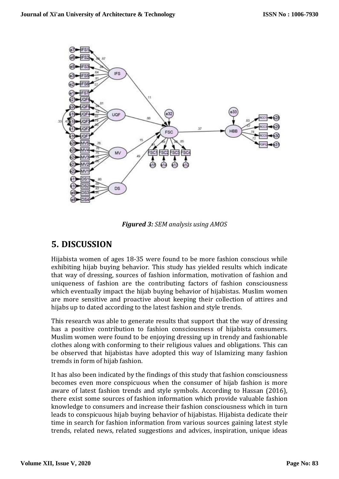

*Figured 3: SEM analysis using AMOS*

# **5. DISCUSSION**

Hijabista women of ages 18-35 were found to be more fashion conscious while exhibiting hijab buying behavior. This study has yielded results which indicate that way of dressing, sources of fashion information, motivation of fashion and uniqueness of fashion are the contributing factors of fashion consciousness which eventually impact the hijab buying behavior of hijabistas. Muslim women are more sensitive and proactive about keeping their collection of attires and hijabs up to dated according to the latest fashion and style trends.

This research was able to generate results that support that the way of dressing has a positive contribution to fashion consciousness of hijabista consumers. Muslim women were found to be enjoying dressing up in trendy and fashionable clothes along with conforming to their religious values and obligations. This can be observed that hijabistas have adopted this way of Islamizing many fashion tremds in form of hijab fashion.

It has also been indicated by the findings of this study that fashion consciousness becomes even more conspicuous when the consumer of hijab fashion is more aware of latest fashion trends and style symbols. According to Hassan (2016), there exist some sources of fashion information which provide valuable fashion knowledge to consumers and increase their fashion consciousness which in turn leads to conspicuous hijab buying behavior of hijabistas. Hijabista dedicate their time in search for fashion information from various sources gaining latest style trends, related news, related suggestions and advices, inspiration, unique ideas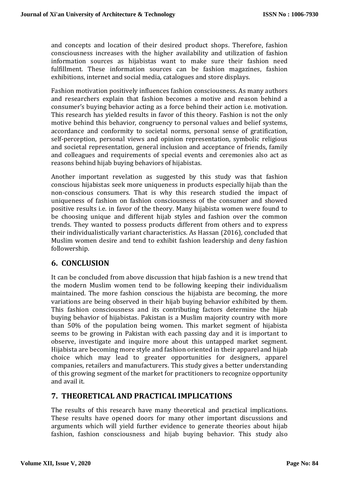and concepts and location of their desired product shops. Therefore, fashion consciousness increases with the higher availability and utilization of fashion information sources as hijabistas want to make sure their fashion need fulfillment. These information sources can be fashion magazines, fashion exhibitions, internet and social media, catalogues and store displays.

Fashion motivation positively influences fashion consciousness. As many authors and researchers explain that fashion becomes a motive and reason behind a consumer's buying behavior acting as a force behind their action i.e. motivation. This research has yielded results in favor of this theory. Fashion is not the only motive behind this behavior, congruency to personal values and belief systems, accordance and conformity to societal norms, personal sense of gratification, self-perception, personal views and opinion representation, symbolic religious and societal representation, general inclusion and acceptance of friends, family and colleagues and requirements of special events and ceremonies also act as reasons behind hijab buying behaviors of hijabistas.

Another important revelation as suggested by this study was that fashion conscious hijabistas seek more uniqueness in products especially hijab than the non-conscious consumers. That is why this research studied the impact of uniqueness of fashion on fashion consciousness of the consumer and showed positive results i.e. in favor of the theory. Many hijabista women were found to be choosing unique and different hijab styles and fashion over the common trends. They wanted to possess products different from others and to express their individualistically variant characteristics. As Hassan (2016), concluded that Muslim women desire and tend to exhibit fashion leadership and deny fashion followership.

# **6. CONCLUSION**

It can be concluded from above discussion that hijab fashion is a new trend that the modern Muslim women tend to be following keeping their individualism maintained. The more fashion conscious the hijabista are becoming, the more variations are being observed in their hijab buying behavior exhibited by them. This fashion consciousness and its contributing factors determine the hijab buying behavior of hijabistas. Pakistan is a Muslim majority country with more than 50% of the population being women. This market segment of hijabista seems to be growing in Pakistan with each passing day and it is important to observe, investigate and inquire more about this untapped market segment. Hijabista are becoming more style and fashion oriented in their apparel and hijab choice which may lead to greater opportunities for designers, apparel companies, retailers and manufacturers. This study gives a better understanding of this growing segment of the market for practitioners to recognize opportunity and avail it.

### **7. THEORETICAL AND PRACTICAL IMPLICATIONS**

The results of this research have many theoretical and practical implications. These results have opened doors for many other important discussions and arguments which will yield further evidence to generate theories about hijab fashion, fashion consciousness and hijab buying behavior. This study also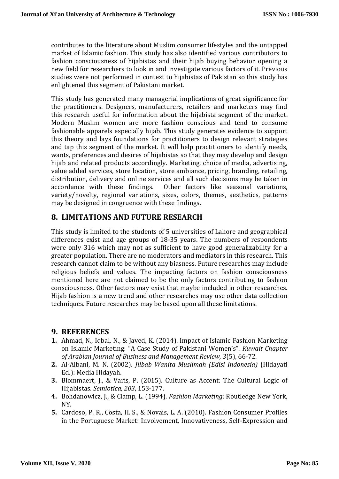contributes to the literature about Muslim consumer lifestyles and the untapped market of Islamic fashion. This study has also identified various contributors to fashion consciousness of hijabistas and their hijab buying behavior opening a new field for researchers to look in and investigate various factors of it. Previous studies were not performed in context to hijabistas of Pakistan so this study has enlightened this segment of Pakistani market.

This study has generated many managerial implications of great significance for the practitioners. Designers, manufacturers, retailers and marketers may find this research useful for information about the hijabista segment of the market. Modern Muslim women are more fashion conscious and tend to consume fashionable apparels especially hijab. This study generates evidence to support this theory and lays foundations for practitioners to design relevant strategies and tap this segment of the market. It will help practitioners to identify needs, wants, preferences and desires of hijabistas so that they may develop and design hijab and related products accordingly. Marketing, choice of media, advertising, value added services, store location, store ambiance, pricing, branding, retailing, distribution, delivery and online services and all such decisions may be taken in accordance with these findings. Other factors like seasonal variations, variety/novelty, regional variations, sizes, colors, themes, aesthetics, patterns may be designed in congruence with these findings.

# **8. LIMITATIONS AND FUTURE RESEARCH**

This study is limited to the students of 5 universities of Lahore and geographical differences exist and age groups of 18-35 years. The numbers of respondents were only 316 which may not as sufficient to have good generalizability for a greater population. There are no moderators and mediators in this research. This research cannot claim to be without any biasness. Future researches may include religious beliefs and values. The impacting factors on fashion consciousness mentioned here are not claimed to be the only factors contributing to fashion consciousness. Other factors may exist that maybe included in other researches. Hijab fashion is a new trend and other researches may use other data collection techniques. Future researches may be based upon all these limitations.

### **9. REFERENCES**

- **1.** Ahmad, N., Iqbal, N., & Javed, K. (2014). Impact of Islamic Fashion Marketing on Islamic Marketing: "A Case Study of Pakistani Women's". *Kuwait Chapter of Arabian Journal of Business and Management Review, 3*(5), 66-72.
- **2.** Al-Albani, M. N. (2002). *Jilbab Wanita Muslimah (Edisi Indonesia)* (Hidayati Ed.): Media Hidayah.
- **3.** Blommaert, J., & Varis, P. (2015). Culture as Accent: The Cultural Logic of Hijabistas. *Semiotica, 203*, 153-177.
- **4.** Bohdanowicz, J., & Clamp, L. (1994). *Fashion Marketing*: Routledge New York, NY.
- **5.** Cardoso, P. R., Costa, H. S., & Novais, L. A. (2010). Fashion Consumer Profiles in the Portuguese Market: Involvement, Innovativeness, Self-Expression and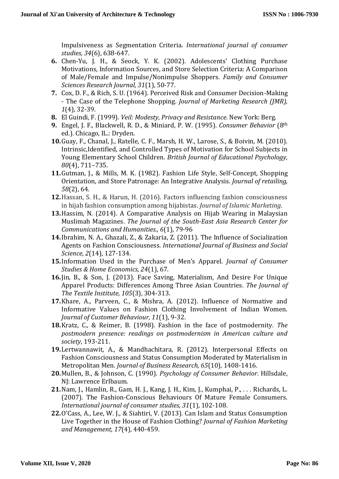Impulsiveness as Segmentation Criteria. *International journal of consumer studies, 34*(6), 638-647.

- **6.** Chen‐Yu, J. H., & Seock, Y. K. (2002). Adolescents' Clothing Purchase Motivations, Information Sources, and Store Selection Criteria: A Comparison of Male/Female and Impulse/Nonimpulse Shoppers. *Family and Consumer Sciences Research Journal, 31*(1), 50-77.
- **7.** Cox, D. F., & Rich, S. U. (1964). Perceived Risk and Consumer Decision-Making - The Case of the Telephone Shopping. *Journal of Marketing Research (JMR), 1*(4), 32-39.
- **8.** El Guindi, F. (1999). *Veil: Modesty, Privacy and Resistance*. New York: Berg.
- **9.** Engel, J. F., Blackwell, R. D., & Miniard, P. W. (1995). *Consumer Behavior* (8th ed.). Chicago, IL.: Dryden.
- **10.**Guay, F., Chanal, J., Ratelle, C. F., Marsh, H. W., Larose, S., & Boivin, M. (2010). Intrinsic,Identified, and Controlled Types of Motivation for School Subjects in Young Elementary School Children. *British Journal of Educational Psychology, 80*(4), 711–735.
- **11.**Gutman, J., & Mills, M. K. (1982). Fashion Life Style, Self-Concept, Shopping Orientation, and Store Patronage: An Integrative Analysis. *Journal of retailing, 58*(2), 64.
- **12.**Hassan, S. H., & Harun, H. (2016). Factors influencing fashion consciousness in hijab fashion consumption among hijabistas. *Journal of Islamic Marketing*.
- **13.**Hassim, N. (2014). A Comparative Analysis on Hijab Wearing in Malaysian Muslimah Magazines. *The Journal of the South-East Asia Research Center for Communications and Humanities., 6*(1), 79-96
- **14.**Ibrahim, N. A., Ghazali, Z., & Zakaria, Z. (2011). The Influence of Socialization Agents on Fashion Consciousness. *International Journal of Business and Social Science, 2*(14), 127-134.
- **15.**Information Used in the Purchase of Men's Apparel. *Journal of Consumer Studies & Home Economics, 24*(1), 67.
- **16.**Jin, B., & Son, J. (2013). Face Saving, Materialism, And Desire For Unique Apparel Products: Differences Among Three Asian Countries. *The Journal of The Textile Institute, 105*(3), 304-313.
- **17.**Khare, A., Parveen, C., & Mishra, A. (2012). Influence of Normative and Informative Values on Fashion Clothing Involvement of Indian Women. *Journal of Customer Behaviour, 11*(1), 9-32.
- **18.**Kratz, C., & Reimer, B. (1998). Fashion in the face of postmodernity. *The postmodern presence: readings on postmodernism in American culture and society*, 193-211.
- **19.**Lertwannawit, A., & Mandhachitara, R. (2012). Interpersonal Effects on Fashion Consciousness and Status Consumption Moderated by Materialism in Metropolitan Men. *Journal of Business Research, 65*(10), 1408-1416.
- **20.**Mullen, B., & Johnson, C. (1990). *Psychology of Consumer Behavior*. Hillsdale, NJ: Lawrence Erlbaum.
- **21.**Nam, J., Hamlin, R., Gam, H. J., Kang, J. H., Kim, J., Kumphai, P., . . . Richards, L. (2007). The Fashion-Conscious Behaviours Of Mature Female Consumers. *International journal of consumer studies, 31*(1), 102-108.
- **22.**O'Cass, A., Lee, W. J., & Siahtiri, V. (2013). Can Islam and Status Consumption Live Together in the House of Fashion Clothing? *Journal of Fashion Marketing and Management, 17*(4), 440-459.